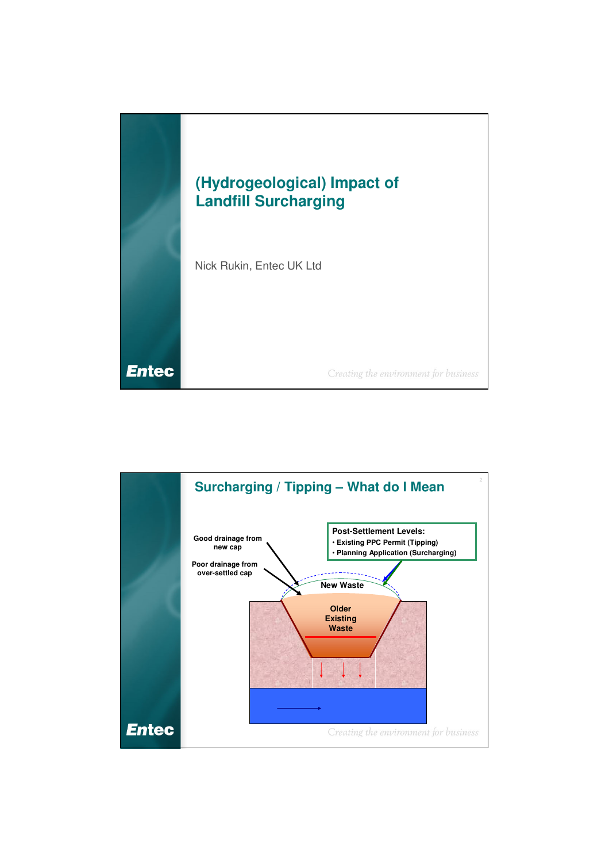

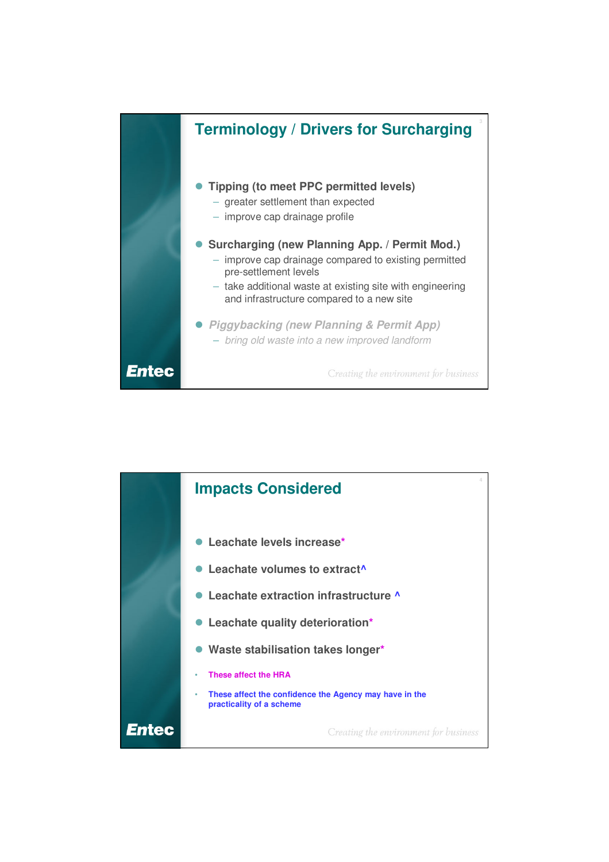

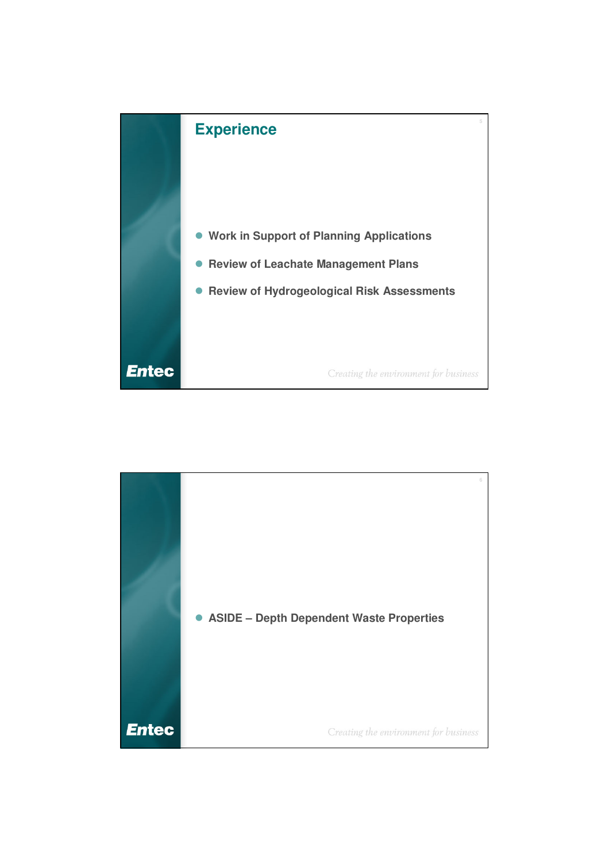

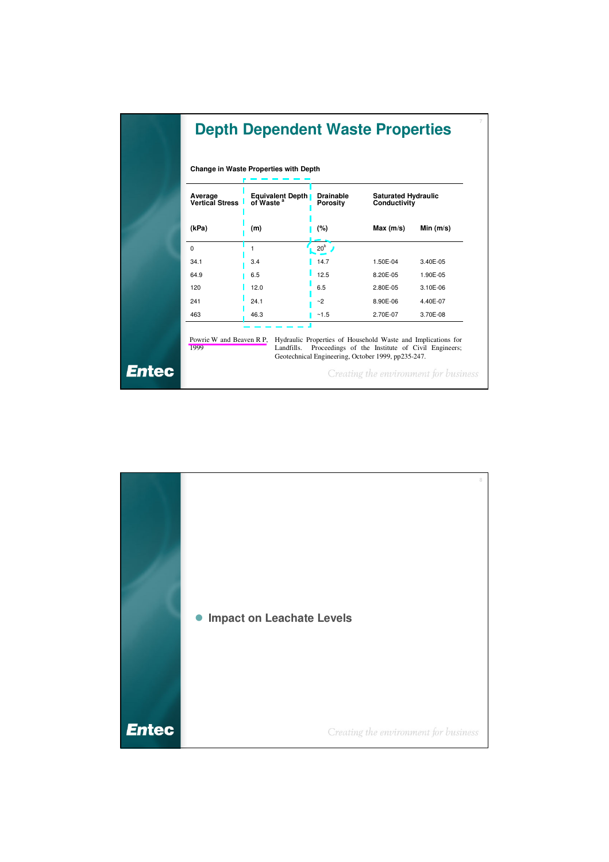|             | Change in Waste Properties with Depth |                                                  |                                     |                                                                                                                                                                        |              |  |
|-------------|---------------------------------------|--------------------------------------------------|-------------------------------------|------------------------------------------------------------------------------------------------------------------------------------------------------------------------|--------------|--|
| Average     | <b>Vertical Stress</b>                | <b>Equivalent Depth</b><br>of Waste <sup>a</sup> | <b>Drainable</b><br><b>Porosity</b> | <b>Saturated Hydraulic</b><br>Conductivity                                                                                                                             |              |  |
| (kPa)       |                                       | (m)                                              | (%)                                 | Max (m/s)                                                                                                                                                              | Min(m/s)     |  |
| $\mathbf 0$ |                                       | 1                                                | 20 <sup>b</sup>                     |                                                                                                                                                                        |              |  |
| 34.1        |                                       | 3.4                                              | 14.7                                | 1.50E-04                                                                                                                                                               | 3.40E-05     |  |
| 64.9        |                                       | 6.5                                              | 12.5                                | 8.20E-05                                                                                                                                                               | 1.90E-05     |  |
| 120         |                                       | 12.0                                             | 6.5                                 | 2.80E-05                                                                                                                                                               | $3.10E - 06$ |  |
| 241         |                                       | 24.1                                             | ~2                                  | 8.90E-06                                                                                                                                                               | 4.40E-07     |  |
| 463         |                                       | 46.3                                             | ~1.5                                | 2.70E-07                                                                                                                                                               | 3.70E-08     |  |
| 1999        | Powrie W and Beaven R P,              | Landfills.                                       |                                     | Hydraulic Properties of Household Waste and Implications for<br>Proceedings of the Institute of Civil Engineers;<br>Geotechnical Engineering, October 1999, pp235-247. |              |  |

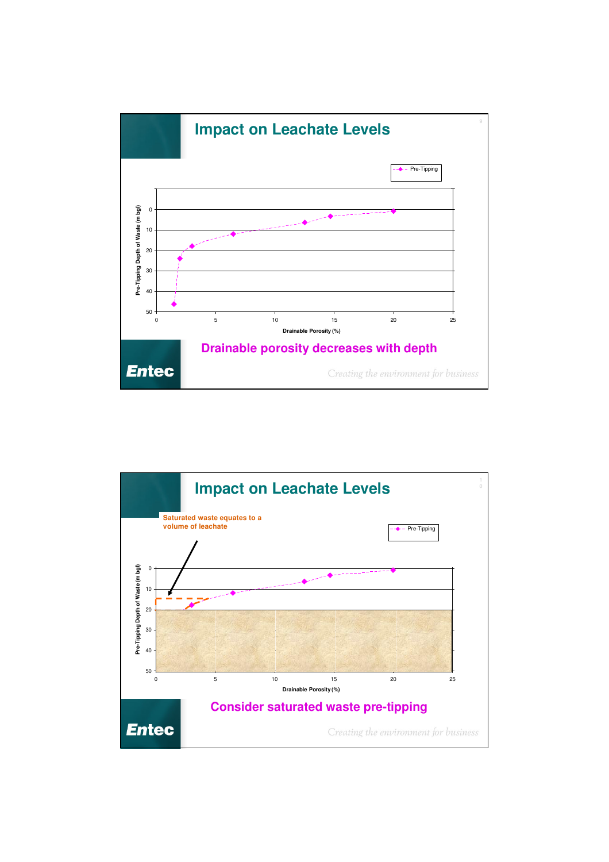

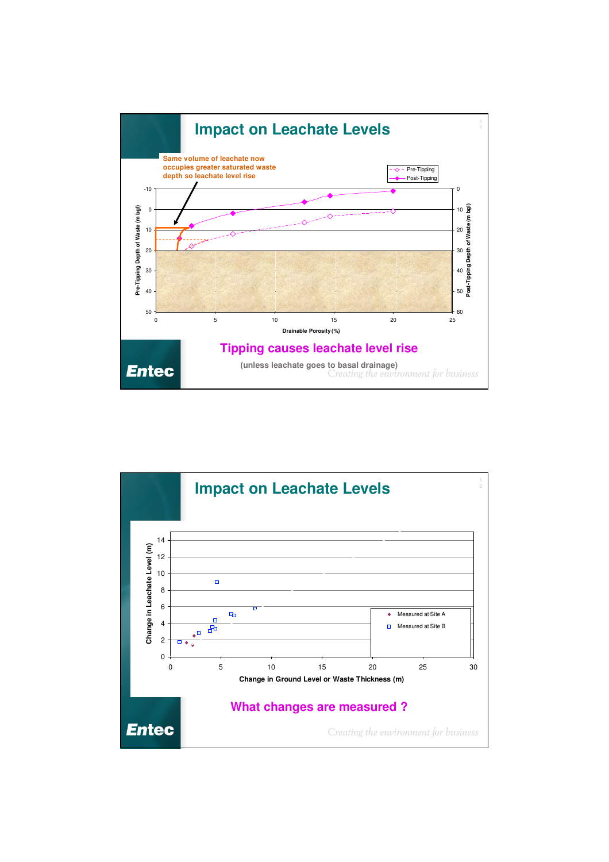

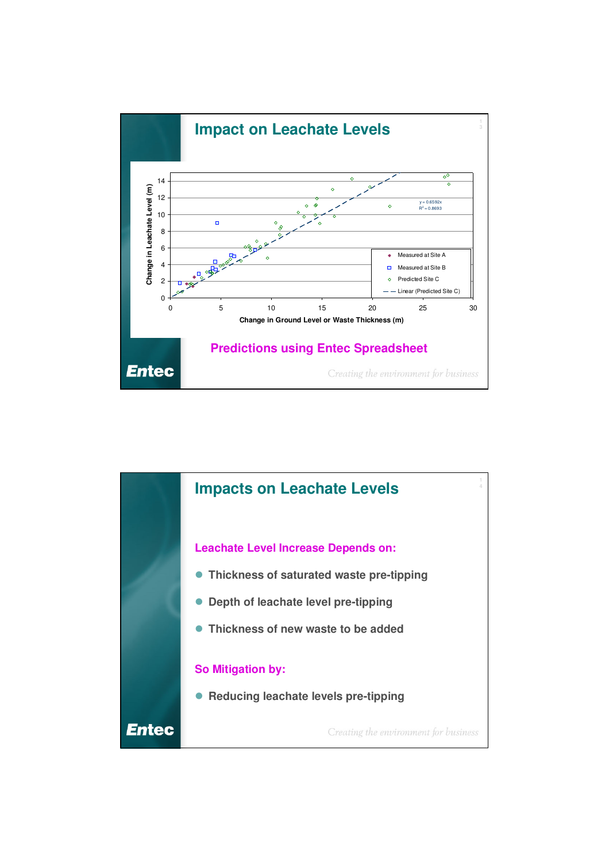

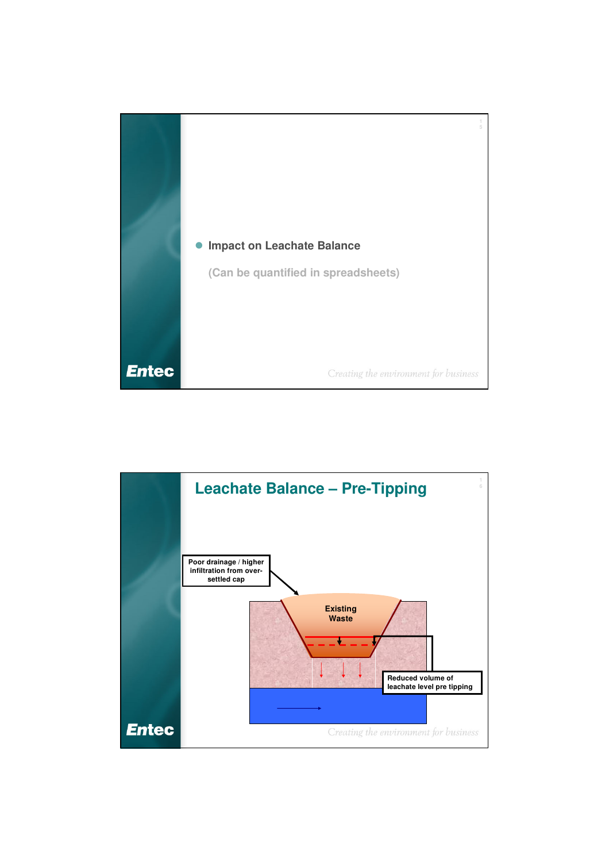

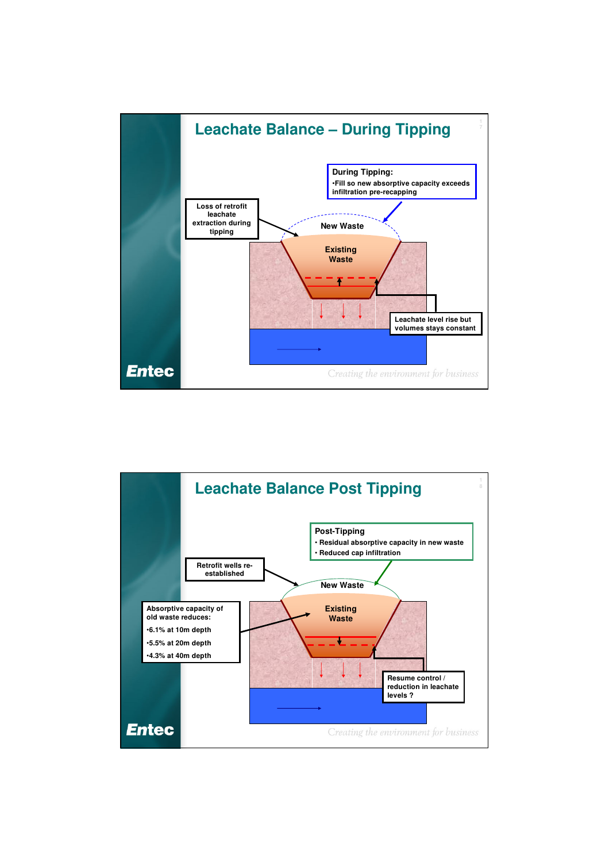

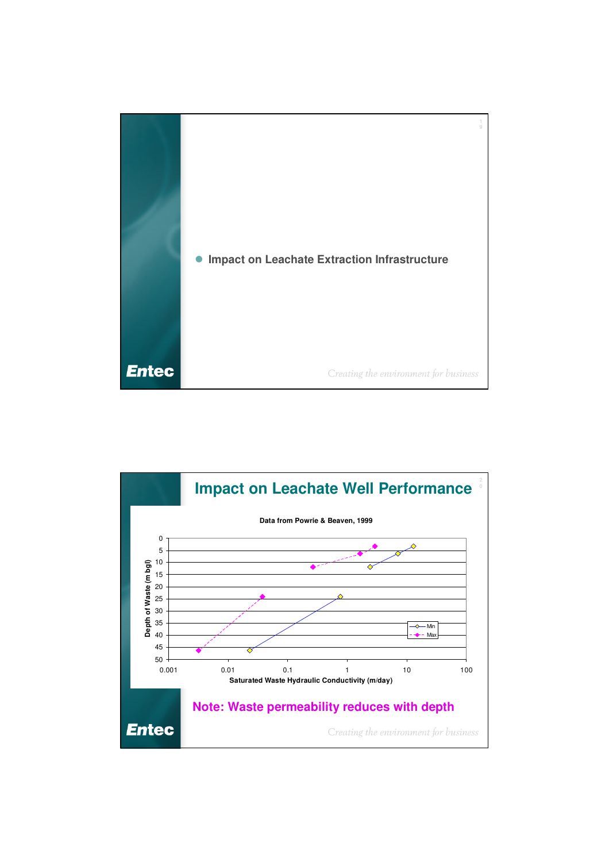

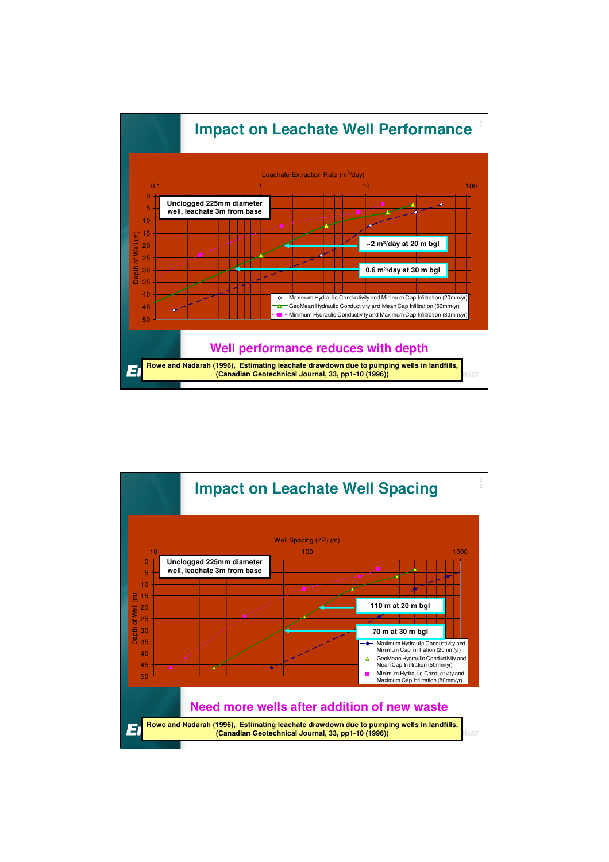

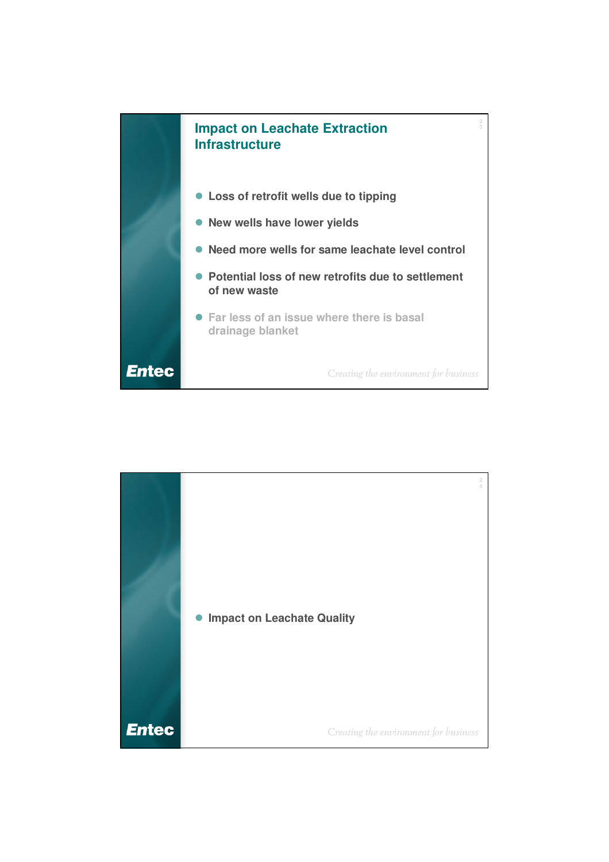

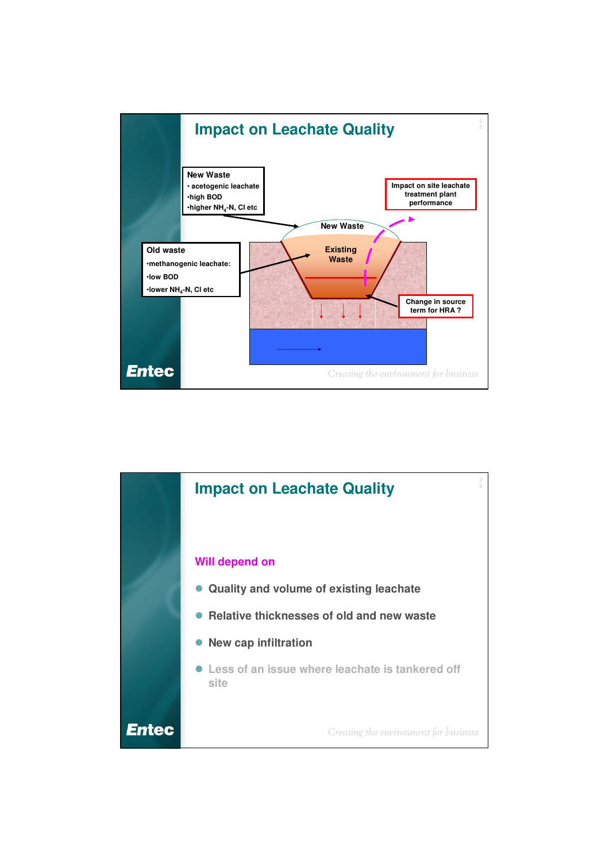

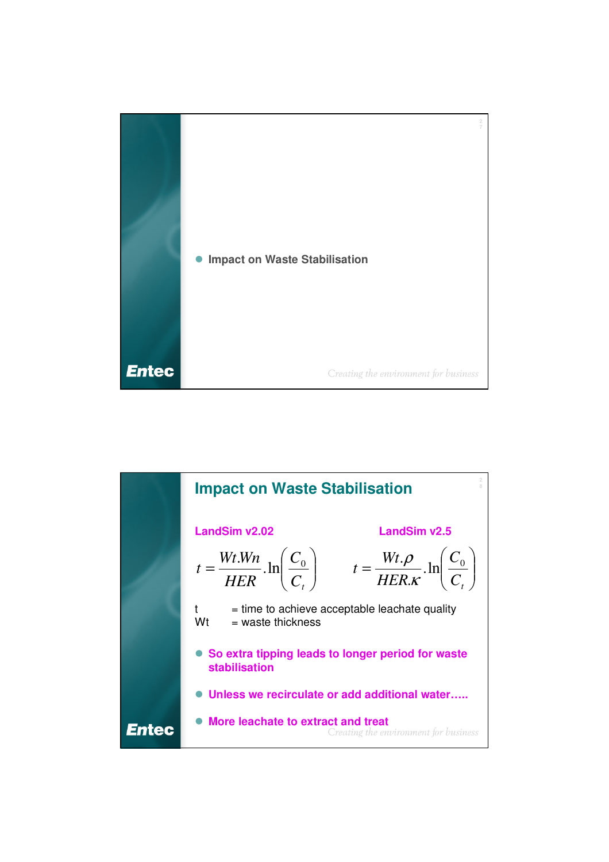

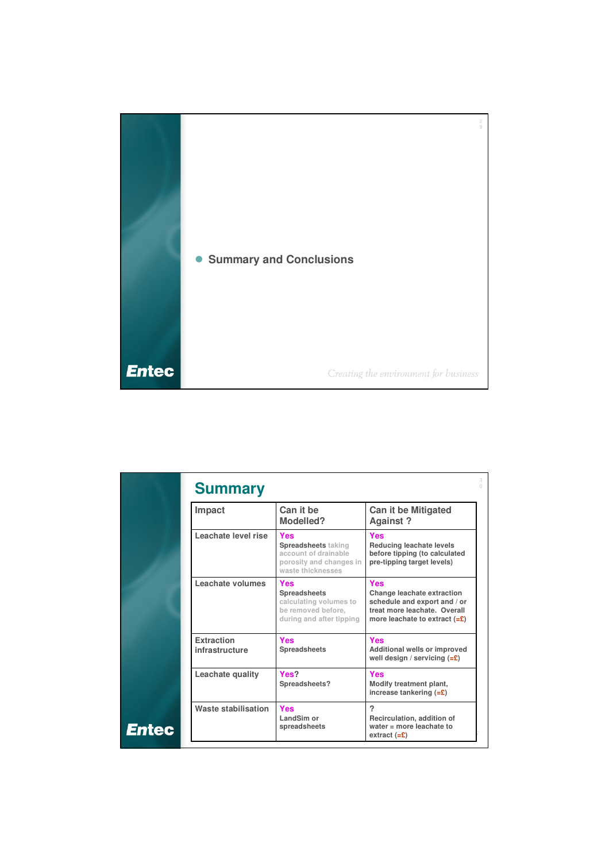

| Impact                       | Can it be<br>Modelled?                                                                                           | <b>Can it be Mitigated</b><br>Against?                                                                                                              |  |
|------------------------------|------------------------------------------------------------------------------------------------------------------|-----------------------------------------------------------------------------------------------------------------------------------------------------|--|
| Leachate level rise          | <b>Yes</b><br><b>Spreadsheets taking</b><br>account of drainable<br>porosity and changes in<br>waste thicknesses | <b>Yes</b><br>Reducing leachate levels<br>before tipping (to calculated<br>pre-tipping target levels)                                               |  |
| Leachate volumes             | Yes<br><b>Spreadsheets</b><br>calculating volumes to<br>be removed before,<br>during and after tipping           | Yes<br>Change leachate extraction<br>schedule and export and / or<br>treat more leachate. Overall<br>more leachate to extract $(=\mathbf{\hat{E}})$ |  |
| Extraction<br>infrastructure | <b>Yes</b><br>Spreadsheets                                                                                       | Yes<br>Additional wells or improved<br>well design / servicing $(=\epsilon)$                                                                        |  |
| Leachate quality             | Yes?<br>Spreadsheets?                                                                                            | Yes<br>Modify treatment plant,<br>increase tankering $(=\mathbf{\hat{E}})$                                                                          |  |
| Waste stabilisation<br>Entec | <b>Yes</b><br>LandSim or<br>spreadsheets                                                                         | 2<br>Recirculation, addition of<br>water $=$ more leachate to<br>extract $(=\mathbf{\pounds})$                                                      |  |